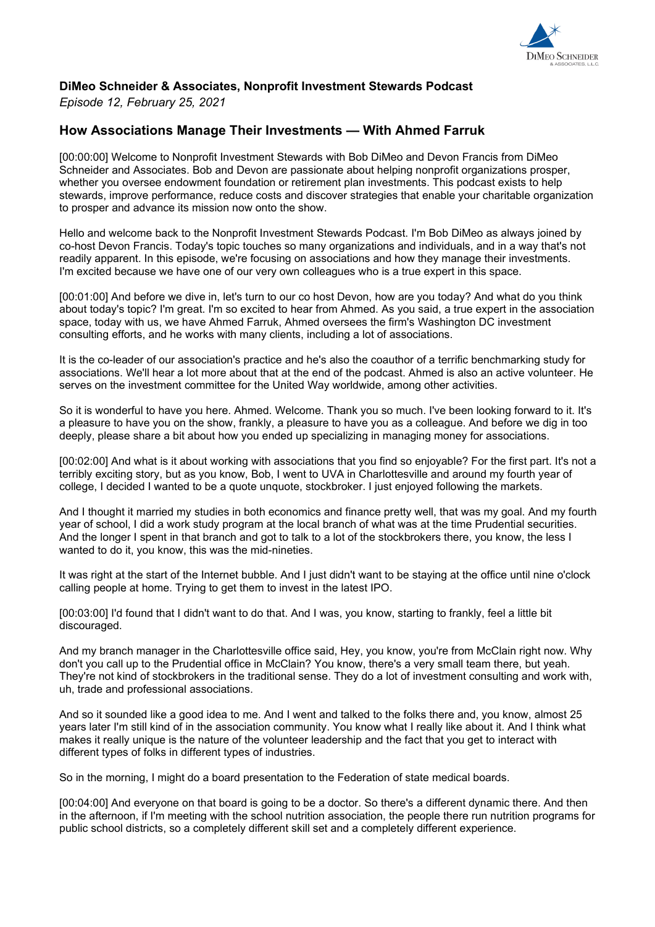

## **DiMeo Schneider & Associates, Nonprofit Investment Stewards Podcast**

*Episode 12, February 25, 2021*

## **How Associations Manage Their Investments — With Ahmed Farruk**

[00:00:00] Welcome to Nonprofit Investment Stewards with Bob DiMeo and Devon Francis from DiMeo Schneider and Associates. Bob and Devon are passionate about helping nonprofit organizations prosper, whether you oversee endowment foundation or retirement plan investments. This podcast exists to help stewards, improve performance, reduce costs and discover strategies that enable your charitable organization to prosper and advance its mission now onto the show.

Hello and welcome back to the Nonprofit Investment Stewards Podcast. I'm Bob DiMeo as always joined by co-host Devon Francis. Today's topic touches so many organizations and individuals, and in a way that's not readily apparent. In this episode, we're focusing on associations and how they manage their investments. I'm excited because we have one of our very own colleagues who is a true expert in this space.

[00:01:00] And before we dive in, let's turn to our co host Devon, how are you today? And what do you think about today's topic? I'm great. I'm so excited to hear from Ahmed. As you said, a true expert in the association space, today with us, we have Ahmed Farruk, Ahmed oversees the firm's Washington DC investment consulting efforts, and he works with many clients, including a lot of associations.

It is the co-leader of our association's practice and he's also the coauthor of a terrific benchmarking study for associations. We'll hear a lot more about that at the end of the podcast. Ahmed is also an active volunteer. He serves on the investment committee for the United Way worldwide, among other activities.

So it is wonderful to have you here. Ahmed. Welcome. Thank you so much. I've been looking forward to it. It's a pleasure to have you on the show, frankly, a pleasure to have you as a colleague. And before we dig in too deeply, please share a bit about how you ended up specializing in managing money for associations.

[00:02:00] And what is it about working with associations that you find so enjoyable? For the first part. It's not a terribly exciting story, but as you know, Bob, I went to UVA in Charlottesville and around my fourth year of college, I decided I wanted to be a quote unquote, stockbroker. I just enjoyed following the markets.

And I thought it married my studies in both economics and finance pretty well, that was my goal. And my fourth year of school, I did a work study program at the local branch of what was at the time Prudential securities. And the longer I spent in that branch and got to talk to a lot of the stockbrokers there, you know, the less I wanted to do it, you know, this was the mid-nineties.

It was right at the start of the Internet bubble. And I just didn't want to be staying at the office until nine o'clock calling people at home. Trying to get them to invest in the latest IPO.

[00:03:00] I'd found that I didn't want to do that. And I was, you know, starting to frankly, feel a little bit discouraged.

And my branch manager in the Charlottesville office said, Hey, you know, you're from McClain right now. Why don't you call up to the Prudential office in McClain? You know, there's a very small team there, but yeah. They're not kind of stockbrokers in the traditional sense. They do a lot of investment consulting and work with, uh, trade and professional associations.

And so it sounded like a good idea to me. And I went and talked to the folks there and, you know, almost 25 years later I'm still kind of in the association community. You know what I really like about it. And I think what makes it really unique is the nature of the volunteer leadership and the fact that you get to interact with different types of folks in different types of industries.

So in the morning, I might do a board presentation to the Federation of state medical boards.

[00:04:00] And everyone on that board is going to be a doctor. So there's a different dynamic there. And then in the afternoon, if I'm meeting with the school nutrition association, the people there run nutrition programs for public school districts, so a completely different skill set and a completely different experience.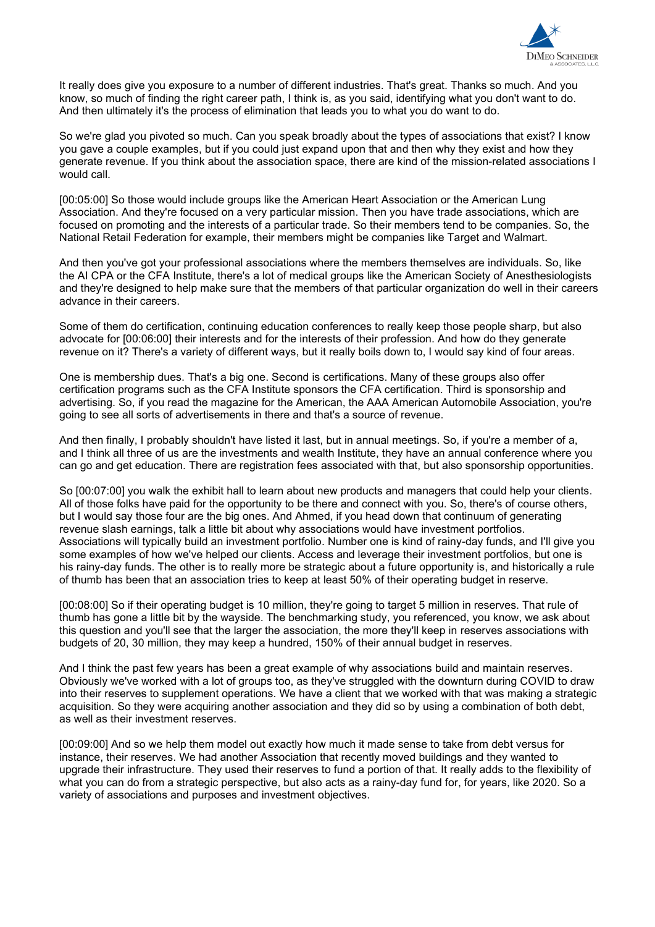

It really does give you exposure to a number of different industries. That's great. Thanks so much. And you know, so much of finding the right career path, I think is, as you said, identifying what you don't want to do. And then ultimately it's the process of elimination that leads you to what you do want to do.

So we're glad you pivoted so much. Can you speak broadly about the types of associations that exist? I know you gave a couple examples, but if you could just expand upon that and then why they exist and how they generate revenue. If you think about the association space, there are kind of the mission-related associations I would call.

[00:05:00] So those would include groups like the American Heart Association or the American Lung Association. And they're focused on a very particular mission. Then you have trade associations, which are focused on promoting and the interests of a particular trade. So their members tend to be companies. So, the National Retail Federation for example, their members might be companies like Target and Walmart.

And then you've got your professional associations where the members themselves are individuals. So, like the AI CPA or the CFA Institute, there's a lot of medical groups like the American Society of Anesthesiologists and they're designed to help make sure that the members of that particular organization do well in their careers advance in their careers.

Some of them do certification, continuing education conferences to really keep those people sharp, but also advocate for [00:06:00] their interests and for the interests of their profession. And how do they generate revenue on it? There's a variety of different ways, but it really boils down to, I would say kind of four areas.

One is membership dues. That's a big one. Second is certifications. Many of these groups also offer certification programs such as the CFA Institute sponsors the CFA certification. Third is sponsorship and advertising. So, if you read the magazine for the American, the AAA American Automobile Association, you're going to see all sorts of advertisements in there and that's a source of revenue.

And then finally, I probably shouldn't have listed it last, but in annual meetings. So, if you're a member of a, and I think all three of us are the investments and wealth Institute, they have an annual conference where you can go and get education. There are registration fees associated with that, but also sponsorship opportunities.

So [00:07:00] you walk the exhibit hall to learn about new products and managers that could help your clients. All of those folks have paid for the opportunity to be there and connect with you. So, there's of course others, but I would say those four are the big ones. And Ahmed, if you head down that continuum of generating revenue slash earnings, talk a little bit about why associations would have investment portfolios. Associations will typically build an investment portfolio. Number one is kind of rainy-day funds, and I'll give you some examples of how we've helped our clients. Access and leverage their investment portfolios, but one is his rainy-day funds. The other is to really more be strategic about a future opportunity is, and historically a rule of thumb has been that an association tries to keep at least 50% of their operating budget in reserve.

[00:08:00] So if their operating budget is 10 million, they're going to target 5 million in reserves. That rule of thumb has gone a little bit by the wayside. The benchmarking study, you referenced, you know, we ask about this question and you'll see that the larger the association, the more they'll keep in reserves associations with budgets of 20, 30 million, they may keep a hundred, 150% of their annual budget in reserves.

And I think the past few years has been a great example of why associations build and maintain reserves. Obviously we've worked with a lot of groups too, as they've struggled with the downturn during COVID to draw into their reserves to supplement operations. We have a client that we worked with that was making a strategic acquisition. So they were acquiring another association and they did so by using a combination of both debt, as well as their investment reserves.

[00:09:00] And so we help them model out exactly how much it made sense to take from debt versus for instance, their reserves. We had another Association that recently moved buildings and they wanted to upgrade their infrastructure. They used their reserves to fund a portion of that. It really adds to the flexibility of what you can do from a strategic perspective, but also acts as a rainy-day fund for, for years, like 2020. So a variety of associations and purposes and investment objectives.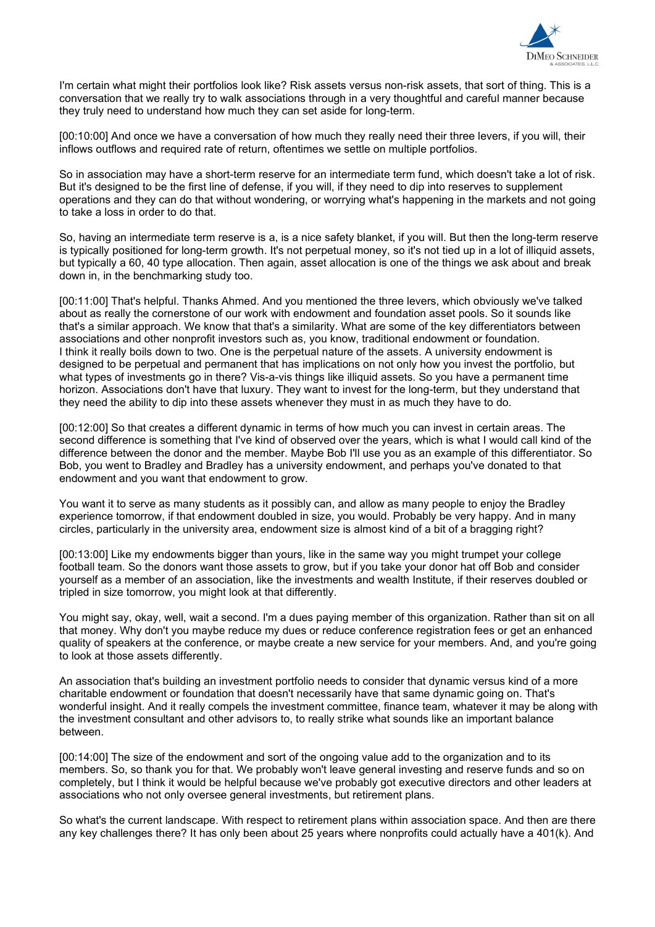

I'm certain what might their portfolios look like? Risk assets versus non-risk assets, that sort of thing. This is a conversation that we really try to walk associations through in a very thoughtful and careful manner because they truly need to understand how much they can set aside for long-term.

[00:10:00] And once we have a conversation of how much they really need their three levers, if you will, their inflows outflows and required rate of return, oftentimes we settle on multiple portfolios.

So in association may have a short-term reserve for an intermediate term fund, which doesn't take a lot of risk. But it's designed to be the first line of defense, if you will, if they need to dip into reserves to supplement operations and they can do that without wondering, or worrying what's happening in the markets and not going to take a loss in order to do that.

So, having an intermediate term reserve is a, is a nice safety blanket, if you will. But then the long-term reserve is typically positioned for long-term growth. It's not perpetual money, so it's not tied up in a lot of illiquid assets, but typically a 60, 40 type allocation. Then again, asset allocation is one of the things we ask about and break down in, in the benchmarking study too.

[00:11:00] That's helpful. Thanks Ahmed. And you mentioned the three levers, which obviously we've talked about as really the cornerstone of our work with endowment and foundation asset pools. So it sounds like that's a similar approach. We know that that's a similarity. What are some of the key differentiators between associations and other nonprofit investors such as, you know, traditional endowment or foundation. I think it really boils down to two. One is the perpetual nature of the assets. A university endowment is designed to be perpetual and permanent that has implications on not only how you invest the portfolio, but what types of investments go in there? Vis-a-vis things like illiquid assets. So you have a permanent time horizon. Associations don't have that luxury. They want to invest for the long-term, but they understand that they need the ability to dip into these assets whenever they must in as much they have to do.

[00:12:00] So that creates a different dynamic in terms of how much you can invest in certain areas. The second difference is something that I've kind of observed over the years, which is what I would call kind of the difference between the donor and the member. Maybe Bob I'll use you as an example of this differentiator. So Bob, you went to Bradley and Bradley has a university endowment, and perhaps you've donated to that endowment and you want that endowment to grow.

You want it to serve as many students as it possibly can, and allow as many people to enjoy the Bradley experience tomorrow, if that endowment doubled in size, you would. Probably be very happy. And in many circles, particularly in the university area, endowment size is almost kind of a bit of a bragging right?

[00:13:00] Like my endowments bigger than yours, like in the same way you might trumpet your college football team. So the donors want those assets to grow, but if you take your donor hat off Bob and consider yourself as a member of an association, like the investments and wealth Institute, if their reserves doubled or tripled in size tomorrow, you might look at that differently.

You might say, okay, well, wait a second. I'm a dues paying member of this organization. Rather than sit on all that money. Why don't you maybe reduce my dues or reduce conference registration fees or get an enhanced quality of speakers at the conference, or maybe create a new service for your members. And, and you're going to look at those assets differently.

An association that's building an investment portfolio needs to consider that dynamic versus kind of a more charitable endowment or foundation that doesn't necessarily have that same dynamic going on. That's wonderful insight. And it really compels the investment committee, finance team, whatever it may be along with the investment consultant and other advisors to, to really strike what sounds like an important balance between.

[00:14:00] The size of the endowment and sort of the ongoing value add to the organization and to its members. So, so thank you for that. We probably won't leave general investing and reserve funds and so on completely, but I think it would be helpful because we've probably got executive directors and other leaders at associations who not only oversee general investments, but retirement plans.

So what's the current landscape. With respect to retirement plans within association space. And then are there any key challenges there? It has only been about 25 years where nonprofits could actually have a 401(k). And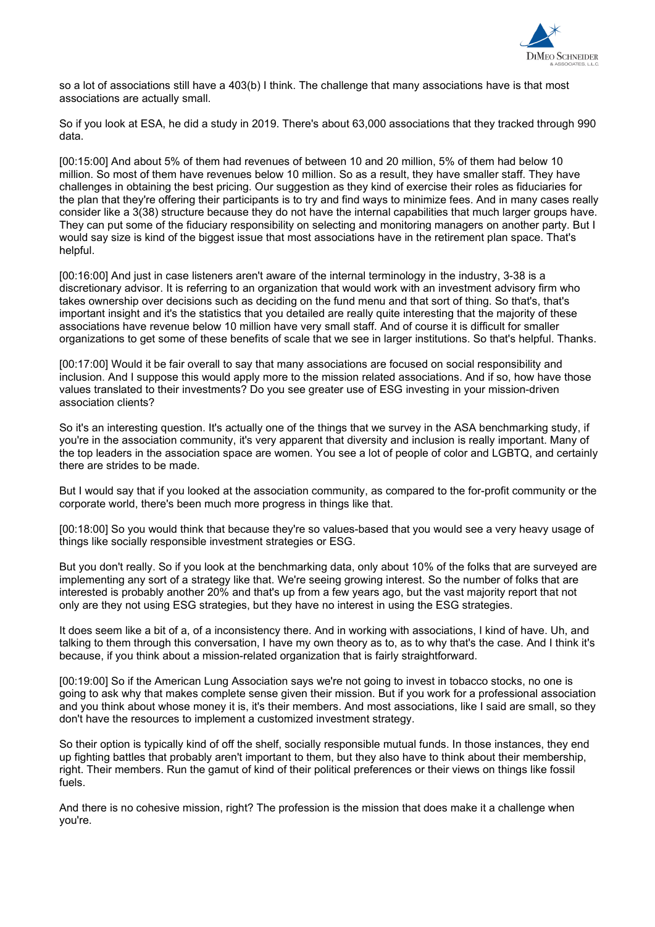

so a lot of associations still have a 403(b) I think. The challenge that many associations have is that most associations are actually small.

So if you look at ESA, he did a study in 2019. There's about 63,000 associations that they tracked through 990 data.

[00:15:00] And about 5% of them had revenues of between 10 and 20 million, 5% of them had below 10 million. So most of them have revenues below 10 million. So as a result, they have smaller staff. They have challenges in obtaining the best pricing. Our suggestion as they kind of exercise their roles as fiduciaries for the plan that they're offering their participants is to try and find ways to minimize fees. And in many cases really consider like a 3(38) structure because they do not have the internal capabilities that much larger groups have. They can put some of the fiduciary responsibility on selecting and monitoring managers on another party. But I would say size is kind of the biggest issue that most associations have in the retirement plan space. That's helpful.

[00:16:00] And just in case listeners aren't aware of the internal terminology in the industry, 3-38 is a discretionary advisor. It is referring to an organization that would work with an investment advisory firm who takes ownership over decisions such as deciding on the fund menu and that sort of thing. So that's, that's important insight and it's the statistics that you detailed are really quite interesting that the majority of these associations have revenue below 10 million have very small staff. And of course it is difficult for smaller organizations to get some of these benefits of scale that we see in larger institutions. So that's helpful. Thanks.

[00:17:00] Would it be fair overall to say that many associations are focused on social responsibility and inclusion. And I suppose this would apply more to the mission related associations. And if so, how have those values translated to their investments? Do you see greater use of ESG investing in your mission-driven association clients?

So it's an interesting question. It's actually one of the things that we survey in the ASA benchmarking study, if you're in the association community, it's very apparent that diversity and inclusion is really important. Many of the top leaders in the association space are women. You see a lot of people of color and LGBTQ, and certainly there are strides to be made.

But I would say that if you looked at the association community, as compared to the for-profit community or the corporate world, there's been much more progress in things like that.

[00:18:00] So you would think that because they're so values-based that you would see a very heavy usage of things like socially responsible investment strategies or ESG.

But you don't really. So if you look at the benchmarking data, only about 10% of the folks that are surveyed are implementing any sort of a strategy like that. We're seeing growing interest. So the number of folks that are interested is probably another 20% and that's up from a few years ago, but the vast majority report that not only are they not using ESG strategies, but they have no interest in using the ESG strategies.

It does seem like a bit of a, of a inconsistency there. And in working with associations, I kind of have. Uh, and talking to them through this conversation, I have my own theory as to, as to why that's the case. And I think it's because, if you think about a mission-related organization that is fairly straightforward.

[00:19:00] So if the American Lung Association says we're not going to invest in tobacco stocks, no one is going to ask why that makes complete sense given their mission. But if you work for a professional association and you think about whose money it is, it's their members. And most associations, like I said are small, so they don't have the resources to implement a customized investment strategy.

So their option is typically kind of off the shelf, socially responsible mutual funds. In those instances, they end up fighting battles that probably aren't important to them, but they also have to think about their membership, right. Their members. Run the gamut of kind of their political preferences or their views on things like fossil fuels.

And there is no cohesive mission, right? The profession is the mission that does make it a challenge when you're.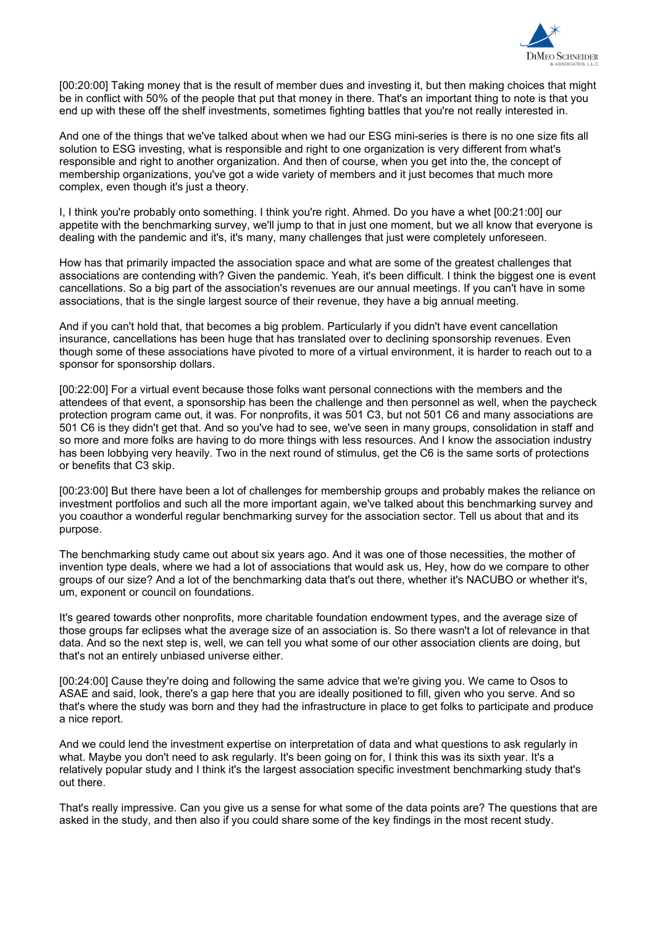

[00:20:00] Taking money that is the result of member dues and investing it, but then making choices that might be in conflict with 50% of the people that put that money in there. That's an important thing to note is that you end up with these off the shelf investments, sometimes fighting battles that you're not really interested in.

And one of the things that we've talked about when we had our ESG mini-series is there is no one size fits all solution to ESG investing, what is responsible and right to one organization is very different from what's responsible and right to another organization. And then of course, when you get into the, the concept of membership organizations, you've got a wide variety of members and it just becomes that much more complex, even though it's just a theory.

I, I think you're probably onto something. I think you're right. Ahmed. Do you have a whet [00:21:00] our appetite with the benchmarking survey, we'll jump to that in just one moment, but we all know that everyone is dealing with the pandemic and it's, it's many, many challenges that just were completely unforeseen.

How has that primarily impacted the association space and what are some of the greatest challenges that associations are contending with? Given the pandemic. Yeah, it's been difficult. I think the biggest one is event cancellations. So a big part of the association's revenues are our annual meetings. If you can't have in some associations, that is the single largest source of their revenue, they have a big annual meeting.

And if you can't hold that, that becomes a big problem. Particularly if you didn't have event cancellation insurance, cancellations has been huge that has translated over to declining sponsorship revenues. Even though some of these associations have pivoted to more of a virtual environment, it is harder to reach out to a sponsor for sponsorship dollars.

[00:22:00] For a virtual event because those folks want personal connections with the members and the attendees of that event, a sponsorship has been the challenge and then personnel as well, when the paycheck protection program came out, it was. For nonprofits, it was 501 C3, but not 501 C6 and many associations are 501 C6 is they didn't get that. And so you've had to see, we've seen in many groups, consolidation in staff and so more and more folks are having to do more things with less resources. And I know the association industry has been lobbying very heavily. Two in the next round of stimulus, get the C6 is the same sorts of protections or benefits that C3 skip.

[00:23:00] But there have been a lot of challenges for membership groups and probably makes the reliance on investment portfolios and such all the more important again, we've talked about this benchmarking survey and you coauthor a wonderful regular benchmarking survey for the association sector. Tell us about that and its purpose.

The benchmarking study came out about six years ago. And it was one of those necessities, the mother of invention type deals, where we had a lot of associations that would ask us, Hey, how do we compare to other groups of our size? And a lot of the benchmarking data that's out there, whether it's NACUBO or whether it's, um, exponent or council on foundations.

It's geared towards other nonprofits, more charitable foundation endowment types, and the average size of those groups far eclipses what the average size of an association is. So there wasn't a lot of relevance in that data. And so the next step is, well, we can tell you what some of our other association clients are doing, but that's not an entirely unbiased universe either.

[00:24:00] Cause they're doing and following the same advice that we're giving you. We came to Osos to ASAE and said, look, there's a gap here that you are ideally positioned to fill, given who you serve. And so that's where the study was born and they had the infrastructure in place to get folks to participate and produce a nice report.

And we could lend the investment expertise on interpretation of data and what questions to ask regularly in what. Maybe you don't need to ask regularly. It's been going on for, I think this was its sixth year. It's a relatively popular study and I think it's the largest association specific investment benchmarking study that's out there.

That's really impressive. Can you give us a sense for what some of the data points are? The questions that are asked in the study, and then also if you could share some of the key findings in the most recent study.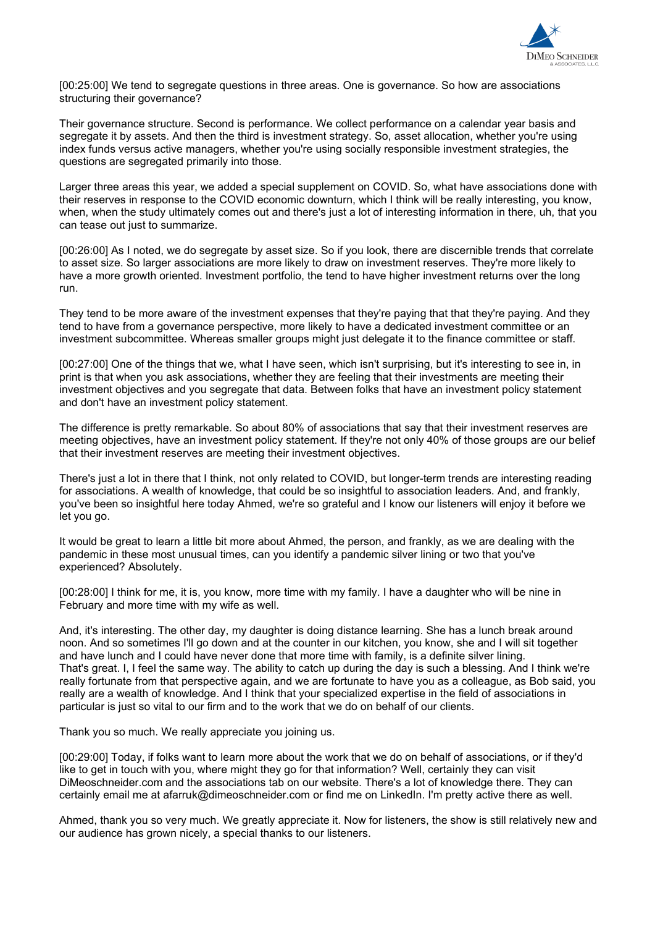

[00:25:00] We tend to segregate questions in three areas. One is governance. So how are associations structuring their governance?

Their governance structure. Second is performance. We collect performance on a calendar year basis and segregate it by assets. And then the third is investment strategy. So, asset allocation, whether you're using index funds versus active managers, whether you're using socially responsible investment strategies, the questions are segregated primarily into those.

Larger three areas this year, we added a special supplement on COVID. So, what have associations done with their reserves in response to the COVID economic downturn, which I think will be really interesting, you know, when, when the study ultimately comes out and there's just a lot of interesting information in there, uh, that you can tease out just to summarize.

[00:26:00] As I noted, we do segregate by asset size. So if you look, there are discernible trends that correlate to asset size. So larger associations are more likely to draw on investment reserves. They're more likely to have a more growth oriented. Investment portfolio, the tend to have higher investment returns over the long run.

They tend to be more aware of the investment expenses that they're paying that that they're paying. And they tend to have from a governance perspective, more likely to have a dedicated investment committee or an investment subcommittee. Whereas smaller groups might just delegate it to the finance committee or staff.

[00:27:00] One of the things that we, what I have seen, which isn't surprising, but it's interesting to see in, in print is that when you ask associations, whether they are feeling that their investments are meeting their investment objectives and you segregate that data. Between folks that have an investment policy statement and don't have an investment policy statement.

The difference is pretty remarkable. So about 80% of associations that say that their investment reserves are meeting objectives, have an investment policy statement. If they're not only 40% of those groups are our belief that their investment reserves are meeting their investment objectives.

There's just a lot in there that I think, not only related to COVID, but longer-term trends are interesting reading for associations. A wealth of knowledge, that could be so insightful to association leaders. And, and frankly, you've been so insightful here today Ahmed, we're so grateful and I know our listeners will enjoy it before we let you go.

It would be great to learn a little bit more about Ahmed, the person, and frankly, as we are dealing with the pandemic in these most unusual times, can you identify a pandemic silver lining or two that you've experienced? Absolutely.

[00:28:00] I think for me, it is, you know, more time with my family. I have a daughter who will be nine in February and more time with my wife as well.

And, it's interesting. The other day, my daughter is doing distance learning. She has a lunch break around noon. And so sometimes I'll go down and at the counter in our kitchen, you know, she and I will sit together and have lunch and I could have never done that more time with family, is a definite silver lining. That's great. I, I feel the same way. The ability to catch up during the day is such a blessing. And I think we're really fortunate from that perspective again, and we are fortunate to have you as a colleague, as Bob said, you really are a wealth of knowledge. And I think that your specialized expertise in the field of associations in particular is just so vital to our firm and to the work that we do on behalf of our clients.

Thank you so much. We really appreciate you joining us.

[00:29:00] Today, if folks want to learn more about the work that we do on behalf of associations, or if they'd like to get in touch with you, where might they go for that information? Well, certainly they can visit DiMeoschneider.com and the associations tab on our website. There's a lot of knowledge there. They can certainly email me at afarruk@dimeoschneider.com or find me on LinkedIn. I'm pretty active there as well.

Ahmed, thank you so very much. We greatly appreciate it. Now for listeners, the show is still relatively new and our audience has grown nicely, a special thanks to our listeners.